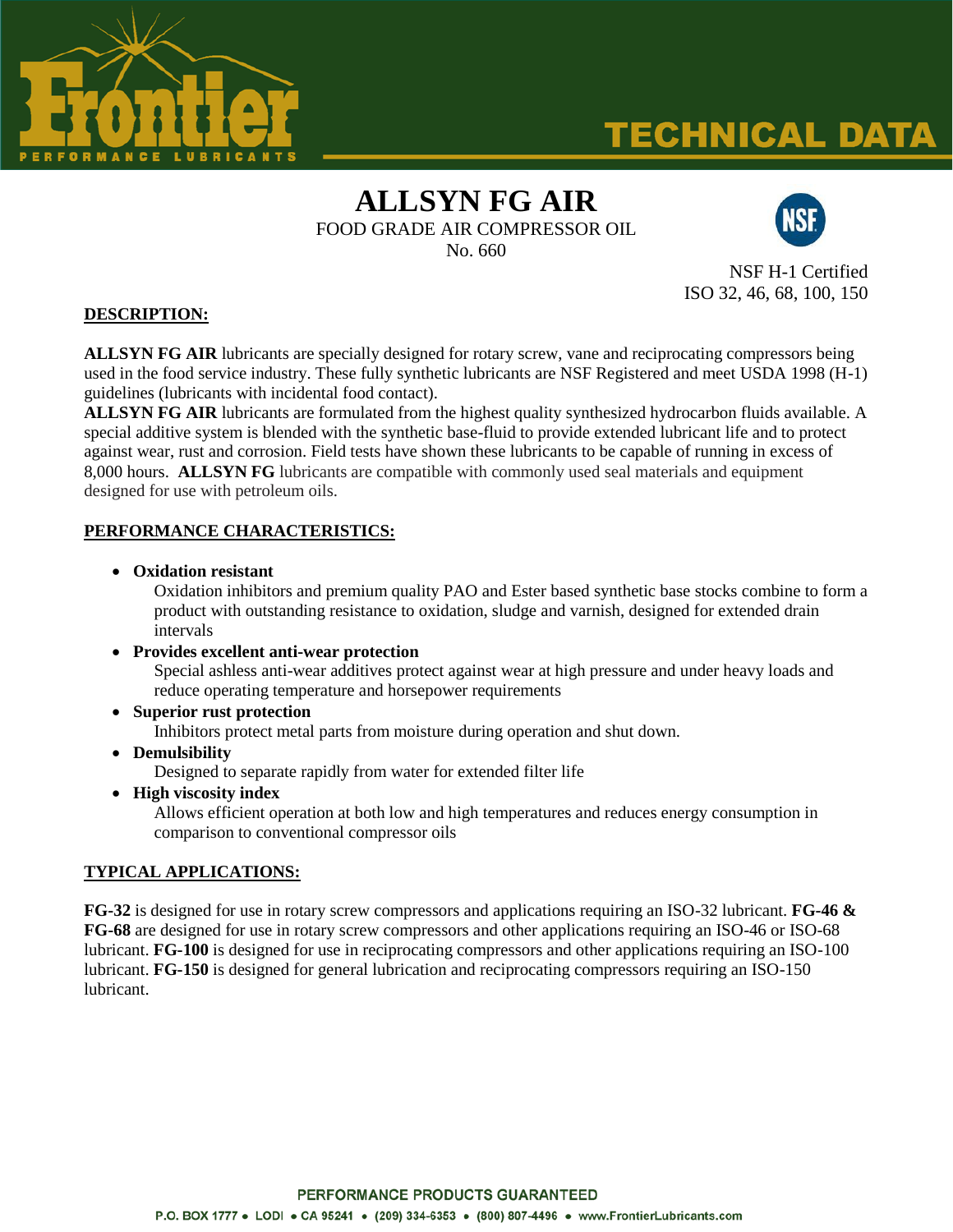

# **TECHNICAL DATA**

## **ALLSYN FG AIR** FOOD GRADE AIR COMPRESSOR OIL

No. 660



NSF H-1 Certified ISO 32, 46, 68, 100, 150

### **DESCRIPTION:**

**ALLSYN FG AIR** lubricants are specially designed for rotary screw, vane and reciprocating compressors being used in the food service industry. These fully synthetic lubricants are NSF Registered and meet USDA 1998 (H-1) guidelines (lubricants with incidental food contact).

**ALLSYN FG AIR** lubricants are formulated from the highest quality synthesized hydrocarbon fluids available. A special additive system is blended with the synthetic base-fluid to provide extended lubricant life and to protect against wear, rust and corrosion. Field tests have shown these lubricants to be capable of running in excess of 8,000 hours. **ALLSYN FG** lubricants are compatible with commonly used seal materials and equipment designed for use with petroleum oils.

### **PERFORMANCE CHARACTERISTICS:**

**Oxidation resistant** 

Oxidation inhibitors and premium quality PAO and Ester based synthetic base stocks combine to form a product with outstanding resistance to oxidation, sludge and varnish, designed for extended drain intervals

- **Provides excellent anti-wear protection** Special ashless anti-wear additives protect against wear at high pressure and under heavy loads and reduce operating temperature and horsepower requirements
- **Superior rust protection** Inhibitors protect metal parts from moisture during operation and shut down.
- **Demulsibility**

Designed to separate rapidly from water for extended filter life

**High viscosity index**

Allows efficient operation at both low and high temperatures and reduces energy consumption in comparison to conventional compressor oils

#### **TYPICAL APPLICATIONS:**

**FG-32** is designed for use in rotary screw compressors and applications requiring an ISO-32 lubricant. **FG-46 & FG-68** are designed for use in rotary screw compressors and other applications requiring an ISO-46 or ISO-68 lubricant. **FG-100** is designed for use in reciprocating compressors and other applications requiring an ISO-100 lubricant. **FG-150** is designed for general lubrication and reciprocating compressors requiring an ISO-150 lubricant.